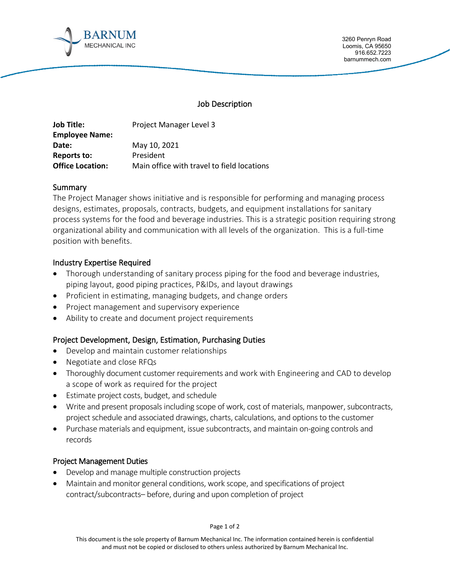

3260 Penryn Road Loomis, CA 95650 916.652.7223 barnummech.com

#### Job Description

| <b>Job Title:</b>       | Project Manager Level 3                    |
|-------------------------|--------------------------------------------|
| <b>Employee Name:</b>   |                                            |
| Date:                   | May 10, 2021                               |
| Reports to:             | President                                  |
| <b>Office Location:</b> | Main office with travel to field locations |

### **Summary**

The Project Manager shows initiative and is responsible for performing and managing process designs, estimates, proposals, contracts, budgets, and equipment installations for sanitary process systems for the food and beverage industries. This is a strategic position requiring strong organizational ability and communication with all levels of the organization. This is a full-time position with benefits.

## Industry Expertise Required

- Thorough understanding of sanitary process piping for the food and beverage industries, piping layout, good piping practices, P&IDs, and layout drawings
- Proficient in estimating, managing budgets, and change orders
- Project management and supervisory experience
- Ability to create and document project requirements

# Project Development, Design, Estimation, Purchasing Duties

- Develop and maintain customer relationships
- Negotiate and close RFQs
- Thoroughly document customer requirements and work with Engineering and CAD to develop a scope of work as required for the project
- Estimate project costs, budget, and schedule
- Write and present proposals including scope of work, cost of materials, manpower, subcontracts, project schedule and associated drawings, charts, calculations, and options to the customer
- Purchase materials and equipment, issue subcontracts, and maintain on-going controls and records

### Project Management Duties

- Develop and manage multiple construction projects
- Maintain and monitor general conditions, work scope, and specifications of project contract/subcontracts– before, during and upon completion of project

Page 1 of 2

This document is the sole property of Barnum Mechanical Inc. The information contained herein is confidential and must not be copied or disclosed to others unless authorized by Barnum Mechanical Inc.